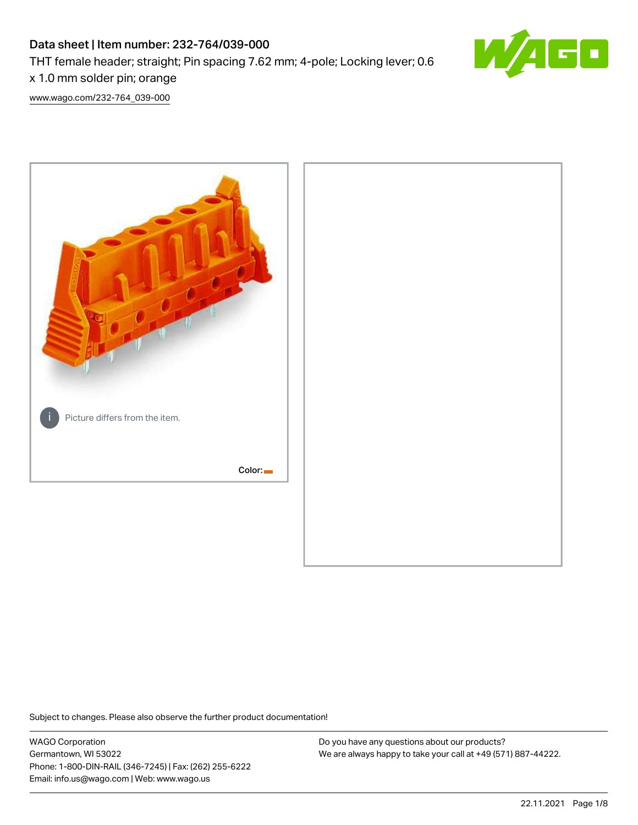# Data sheet | Item number: 232-764/039-000 THT female header; straight; Pin spacing 7.62 mm; 4-pole; Locking lever; 0.6 x 1.0 mm solder pin; orange



[www.wago.com/232-764\\_039-000](http://www.wago.com/232-764_039-000)



Subject to changes. Please also observe the further product documentation!

WAGO Corporation Germantown, WI 53022 Phone: 1-800-DIN-RAIL (346-7245) | Fax: (262) 255-6222 Email: info.us@wago.com | Web: www.wago.us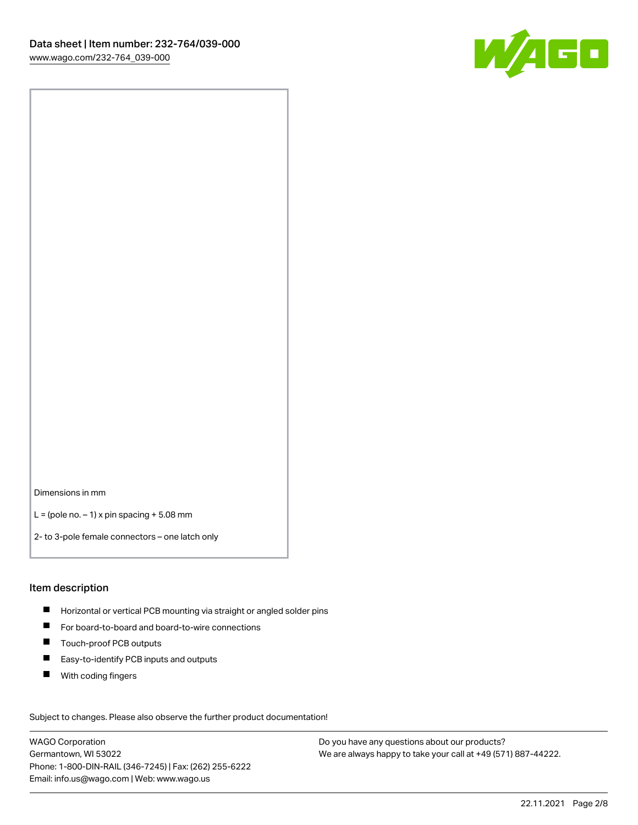

Dimensions in mm

 $L =$  (pole no.  $-1$ ) x pin spacing  $+5.08$  mm

2- to 3-pole female connectors – one latch only

#### Item description

- **H** Horizontal or vertical PCB mounting via straight or angled solder pins
- For board-to-board and board-to-wire connections
- Touch-proof PCB outputs  $\blacksquare$
- $\blacksquare$ Easy-to-identify PCB inputs and outputs
- $\blacksquare$ With coding fingers

Subject to changes. Please also observe the further product documentation! Data

WAGO Corporation Germantown, WI 53022 Phone: 1-800-DIN-RAIL (346-7245) | Fax: (262) 255-6222 Email: info.us@wago.com | Web: www.wago.us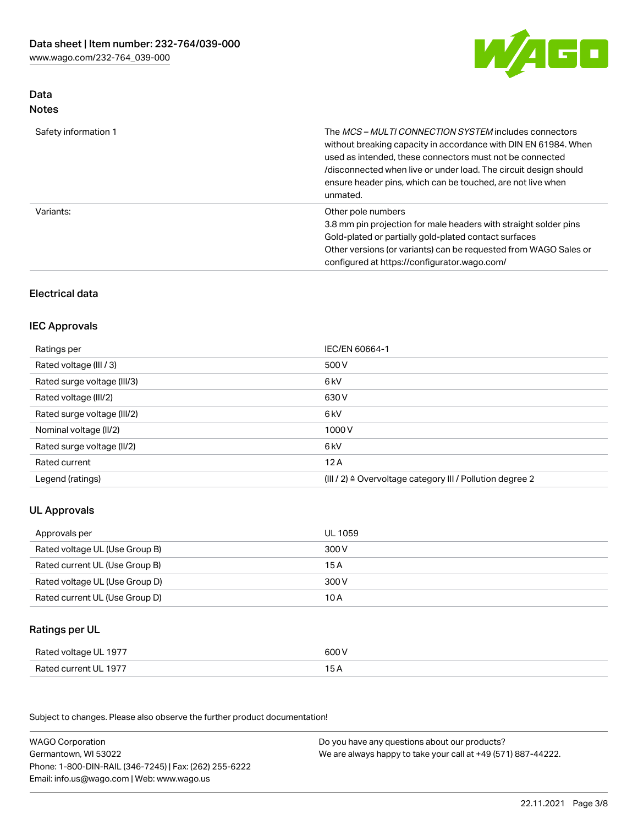

## Data Notes

| Safety information 1 | The <i>MCS - MULTI CONNECTION SYSTEM</i> includes connectors<br>without breaking capacity in accordance with DIN EN 61984. When<br>used as intended, these connectors must not be connected<br>/disconnected when live or under load. The circuit design should<br>ensure header pins, which can be touched, are not live when<br>unmated. |
|----------------------|--------------------------------------------------------------------------------------------------------------------------------------------------------------------------------------------------------------------------------------------------------------------------------------------------------------------------------------------|
| Variants:            | Other pole numbers<br>3.8 mm pin projection for male headers with straight solder pins<br>Gold-plated or partially gold-plated contact surfaces<br>Other versions (or variants) can be requested from WAGO Sales or<br>configured at https://configurator.wago.com/                                                                        |

## Electrical data

### IEC Approvals

| Ratings per                 | IEC/EN 60664-1                                                        |
|-----------------------------|-----------------------------------------------------------------------|
| Rated voltage (III / 3)     | 500 V                                                                 |
| Rated surge voltage (III/3) | 6 kV                                                                  |
| Rated voltage (III/2)       | 630 V                                                                 |
| Rated surge voltage (III/2) | 6 kV                                                                  |
| Nominal voltage (II/2)      | 1000 V                                                                |
| Rated surge voltage (II/2)  | 6 kV                                                                  |
| Rated current               | 12A                                                                   |
| Legend (ratings)            | $(III / 2)$ $\triangle$ Overvoltage category III / Pollution degree 2 |

## UL Approvals

| Approvals per                  | UL 1059 |
|--------------------------------|---------|
| Rated voltage UL (Use Group B) | 300 V   |
| Rated current UL (Use Group B) | 15 A    |
| Rated voltage UL (Use Group D) | 300 V   |
| Rated current UL (Use Group D) | 10 A    |

## Ratings per UL

| Rated voltage UL 1977 | 600 V |
|-----------------------|-------|
| Rated current UL 1977 | ◡◠    |

Subject to changes. Please also observe the further product documentation!

| <b>WAGO Corporation</b>                                | Do you have any questions about our products?                 |
|--------------------------------------------------------|---------------------------------------------------------------|
| Germantown, WI 53022                                   | We are always happy to take your call at +49 (571) 887-44222. |
| Phone: 1-800-DIN-RAIL (346-7245)   Fax: (262) 255-6222 |                                                               |
| Email: info.us@wago.com   Web: www.wago.us             |                                                               |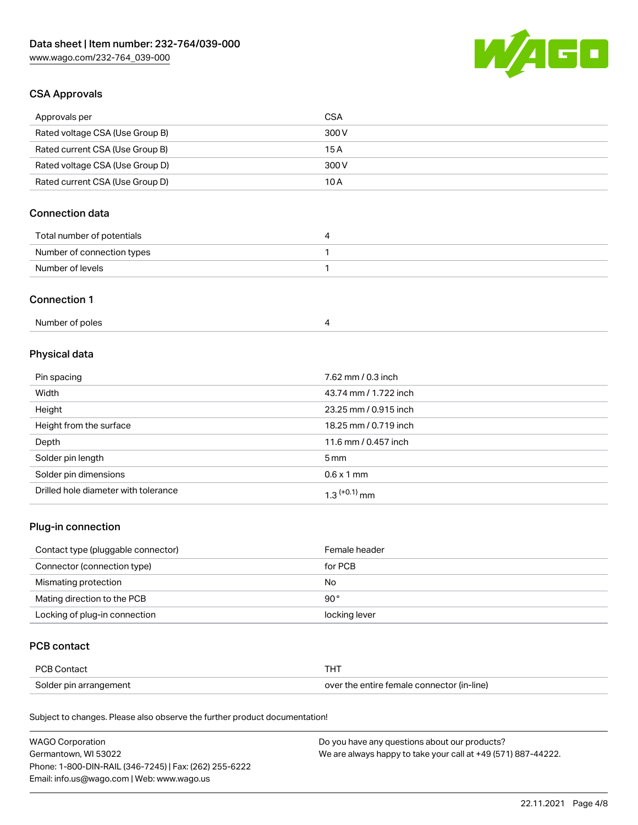

### CSA Approvals

| Approvals per                   | CSA   |
|---------------------------------|-------|
| Rated voltage CSA (Use Group B) | 300 V |
| Rated current CSA (Use Group B) | 15 A  |
| Rated voltage CSA (Use Group D) | 300 V |
| Rated current CSA (Use Group D) | 10 A  |

## Connection data

| Total number of potentials |  |
|----------------------------|--|
| Number of connection types |  |
| Number of levels           |  |

#### Connection 1

| Number of poles |  |
|-----------------|--|
|-----------------|--|

## Physical data

| Pin spacing                          | 7.62 mm / 0.3 inch    |
|--------------------------------------|-----------------------|
| Width                                | 43.74 mm / 1.722 inch |
| Height                               | 23.25 mm / 0.915 inch |
| Height from the surface              | 18.25 mm / 0.719 inch |
| Depth                                | 11.6 mm / 0.457 inch  |
| Solder pin length                    | $5 \,\mathrm{mm}$     |
| Solder pin dimensions                | $0.6 \times 1$ mm     |
| Drilled hole diameter with tolerance | $1.3$ $(+0.1)$ mm     |

## Plug-in connection

| Contact type (pluggable connector) | Female header |
|------------------------------------|---------------|
| Connector (connection type)        | for PCB       |
| Mismating protection               | No            |
| Mating direction to the PCB        | $90^{\circ}$  |
| Locking of plug-in connection      | locking lever |

### PCB contact

| <b>PCB Contact</b>     | тнт                                        |
|------------------------|--------------------------------------------|
| Solder pin arrangement | over the entire female connector (in-line) |

Subject to changes. Please also observe the further product documentation!

| <b>WAGO Corporation</b>                                | Do you have any questions about our products?                 |
|--------------------------------------------------------|---------------------------------------------------------------|
| Germantown, WI 53022                                   | We are always happy to take your call at +49 (571) 887-44222. |
| Phone: 1-800-DIN-RAIL (346-7245)   Fax: (262) 255-6222 |                                                               |
| Email: info.us@wago.com   Web: www.wago.us             |                                                               |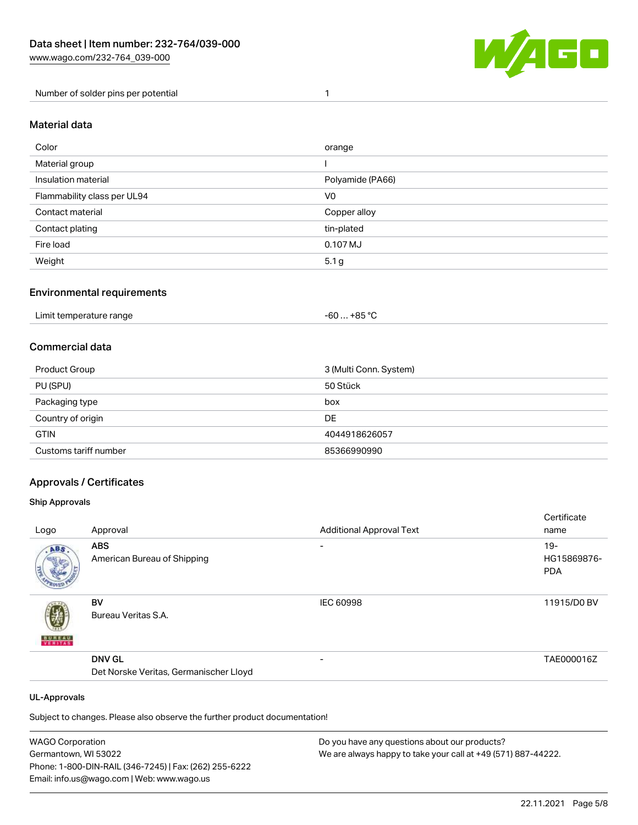

Number of solder pins per potential 1

### Material data

| Color                       | orange           |
|-----------------------------|------------------|
| Material group              |                  |
| Insulation material         | Polyamide (PA66) |
| Flammability class per UL94 | V <sub>0</sub>   |
| Contact material            | Copper alloy     |
| Contact plating             | tin-plated       |
| Fire load                   | 0.107 MJ         |
| Weight                      | 5.1 <sub>g</sub> |

### Environmental requirements

| Limit temperature range<br>. | . +85 °C<br>-60 |  |
|------------------------------|-----------------|--|
|------------------------------|-----------------|--|

### Commercial data

| Product Group         | 3 (Multi Conn. System) |
|-----------------------|------------------------|
| PU (SPU)              | 50 Stück               |
| Packaging type        | box                    |
| Country of origin     | DE                     |
| <b>GTIN</b>           | 4044918626057          |
| Customs tariff number | 85366990990            |

### Approvals / Certificates

#### Ship Approvals

|               |                                        |                                 | Certificate |
|---------------|----------------------------------------|---------------------------------|-------------|
| Logo          | Approval                               | <b>Additional Approval Text</b> | name        |
| ABS.          | <b>ABS</b>                             | $\overline{\phantom{0}}$        | $19 -$      |
|               | American Bureau of Shipping            |                                 | HG15869876- |
|               |                                        |                                 | <b>PDA</b>  |
|               |                                        |                                 |             |
|               | <b>BV</b>                              | <b>IEC 60998</b>                | 11915/D0 BV |
|               | Bureau Veritas S.A.                    |                                 |             |
| <b>BUNEAU</b> |                                        |                                 |             |
|               |                                        |                                 |             |
|               | <b>DNV GL</b>                          | $\overline{\phantom{0}}$        | TAE000016Z  |
|               | Det Norske Veritas, Germanischer Lloyd |                                 |             |
|               |                                        |                                 |             |

#### UL-Approvals

Subject to changes. Please also observe the further product documentation!

| <b>WAGO Corporation</b>                                | Do you have any questions about our products?                 |
|--------------------------------------------------------|---------------------------------------------------------------|
| Germantown, WI 53022                                   | We are always happy to take your call at +49 (571) 887-44222. |
| Phone: 1-800-DIN-RAIL (346-7245)   Fax: (262) 255-6222 |                                                               |
| Email: info.us@wago.com   Web: www.wago.us             |                                                               |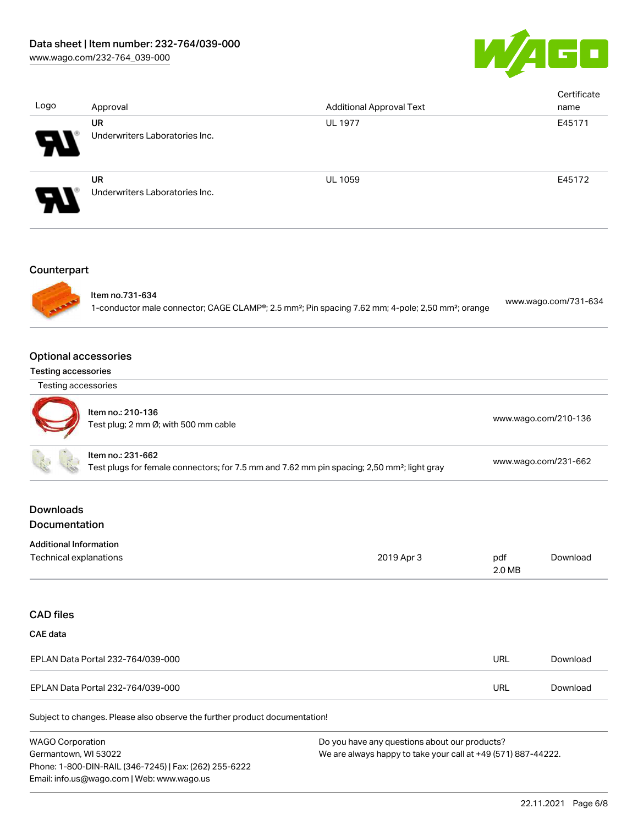

| Logo                                                      | Approval                                                                   | <b>Additional Approval Text</b>                                                                                           |               | Certificate<br>name  |
|-----------------------------------------------------------|----------------------------------------------------------------------------|---------------------------------------------------------------------------------------------------------------------------|---------------|----------------------|
|                                                           | <b>UR</b><br>Underwriters Laboratories Inc.                                | <b>UL 1977</b>                                                                                                            |               | E45171               |
|                                                           | <b>UR</b><br>Underwriters Laboratories Inc.                                | UL 1059                                                                                                                   |               | E45172               |
| Counterpart                                               |                                                                            |                                                                                                                           |               |                      |
|                                                           | Item no.731-634                                                            | 1-conductor male connector; CAGE CLAMP®; 2.5 mm <sup>2</sup> ; Pin spacing 7.62 mm; 4-pole; 2,50 mm <sup>2</sup> ; orange |               | www.wago.com/731-634 |
| <b>Optional accessories</b><br><b>Testing accessories</b> |                                                                            |                                                                                                                           |               |                      |
| Testing accessories                                       |                                                                            |                                                                                                                           |               |                      |
|                                                           | Item no.: 210-136<br>Test plug; 2 mm Ø; with 500 mm cable                  |                                                                                                                           |               | www.wago.com/210-136 |
|                                                           | Item no.: 231-662                                                          | Test plugs for female connectors; for 7.5 mm and 7.62 mm pin spacing; 2,50 mm <sup>2</sup> ; light gray                   |               | www.wago.com/231-662 |
| <b>Downloads</b><br>Documentation                         |                                                                            |                                                                                                                           |               |                      |
| <b>Additional Information</b><br>Technical explanations   |                                                                            | 2019 Apr 3                                                                                                                | pdf<br>2.0 MB | Download             |
| <b>CAD files</b>                                          |                                                                            |                                                                                                                           |               |                      |
| <b>CAE</b> data                                           |                                                                            |                                                                                                                           |               |                      |
|                                                           | EPLAN Data Portal 232-764/039-000                                          |                                                                                                                           | <b>URL</b>    | Download             |
|                                                           | EPLAN Data Portal 232-764/039-000                                          |                                                                                                                           | <b>URL</b>    | Download             |
|                                                           | Subject to changes. Please also observe the further product documentation! |                                                                                                                           |               |                      |

WAGO Corporation Germantown, WI 53022 Phone: 1-800-DIN-RAIL (346-7245) | Fax: (262) 255-6222 Email: info.us@wago.com | Web: www.wago.us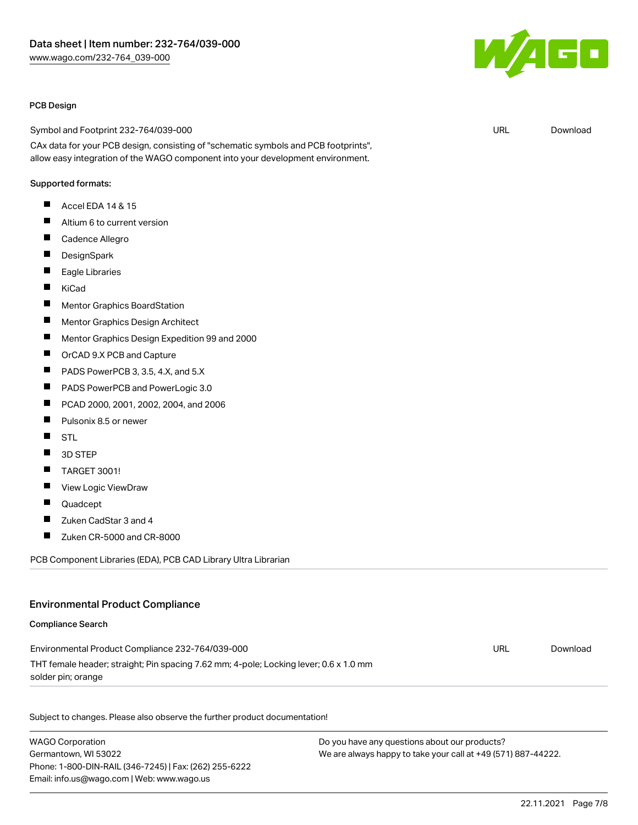

#### PCB Design

Symbol and Footprint 232-764/039-000

CAx data for your PCB design, consisting of "schematic symbols and PCB footprints", allow easy integration of the WAGO component into your development environment.

#### Supported formats:

- $\blacksquare$ Accel EDA 14 & 15
- $\blacksquare$ Altium 6 to current version
- $\blacksquare$ Cadence Allegro
- П **DesignSpark**
- $\blacksquare$ Eagle Libraries
- $\blacksquare$ KiCad
- $\blacksquare$ Mentor Graphics BoardStation
- П Mentor Graphics Design Architect
- П Mentor Graphics Design Expedition 99 and 2000
- П OrCAD 9.X PCB and Capture
- $\blacksquare$ PADS PowerPCB 3, 3.5, 4.X, and 5.X
- $\blacksquare$ PADS PowerPCB and PowerLogic 3.0
- П PCAD 2000, 2001, 2002, 2004, and 2006
- П Pulsonix 8.5 or newer
- П **STL**
- П 3D STEP
- П TARGET 3001!
- П View Logic ViewDraw
- $\blacksquare$ Quadcept
- П Zuken CadStar 3 and 4
- П Zuken CR-5000 and CR-8000

PCB Component Libraries (EDA), PCB CAD Library Ultra Librarian

#### Environmental Product Compliance

#### Compliance Search

| Environmental Product Compliance 232-764/039-000                                      | URL | Download |
|---------------------------------------------------------------------------------------|-----|----------|
| THT female header; straight; Pin spacing 7.62 mm; 4-pole; Locking lever; 0.6 x 1.0 mm |     |          |
| solder pin; orange                                                                    |     |          |

Subject to changes. Please also observe the further product documentation!

WAGO Corporation Germantown, WI 53022 Phone: 1-800-DIN-RAIL (346-7245) | Fax: (262) 255-6222 Email: info.us@wago.com | Web: www.wago.us